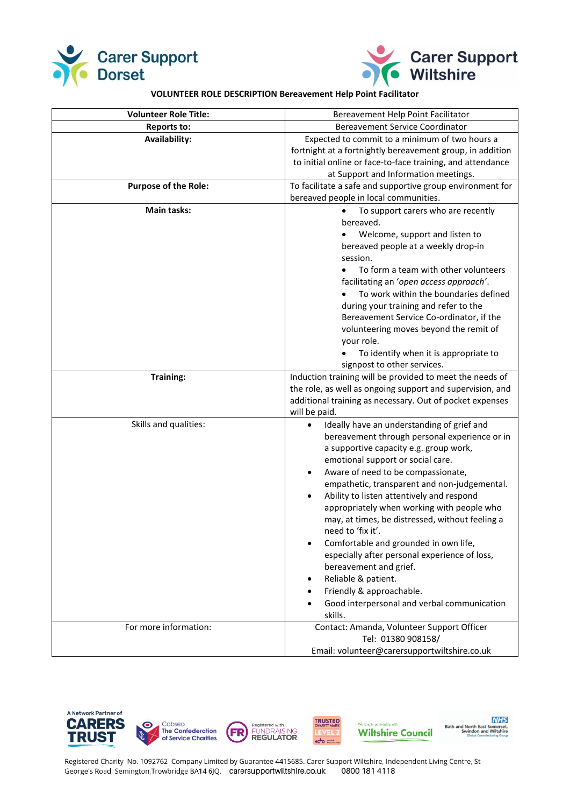



**NHS** 

## **VOLUNTEER ROLE DESCRIPTION Bereavement Help Point Facilitator**

| <b>Volunteer Role Title:</b> | Bereavement Help Point Facilitator                                        |
|------------------------------|---------------------------------------------------------------------------|
| <b>Reports to:</b>           | <b>Bereavement Service Coordinator</b>                                    |
| <b>Availability:</b>         | Expected to commit to a minimum of two hours a                            |
|                              | fortnight at a fortnightly bereavement group, in addition                 |
|                              | to initial online or face-to-face training, and attendance                |
|                              | at Support and Information meetings.                                      |
| <b>Purpose of the Role:</b>  | To facilitate a safe and supportive group environment for                 |
|                              | bereaved people in local communities.                                     |
| <b>Main tasks:</b>           | To support carers who are recently                                        |
|                              | bereaved.                                                                 |
|                              | Welcome, support and listen to                                            |
|                              | bereaved people at a weekly drop-in                                       |
|                              | session.                                                                  |
|                              | To form a team with other volunteers                                      |
|                              | facilitating an 'open access approach'.                                   |
|                              | To work within the boundaries defined                                     |
|                              | during your training and refer to the                                     |
|                              | Bereavement Service Co-ordinator, if the                                  |
|                              | volunteering moves beyond the remit of                                    |
|                              | your role.                                                                |
|                              | To identify when it is appropriate to                                     |
|                              | signpost to other services.                                               |
| <b>Training:</b>             | Induction training will be provided to meet the needs of                  |
|                              | the role, as well as ongoing support and supervision, and                 |
|                              | additional training as necessary. Out of pocket expenses<br>will be paid. |
| Skills and qualities:        | Ideally have an understanding of grief and<br>$\bullet$                   |
|                              | bereavement through personal experience or in                             |
|                              | a supportive capacity e.g. group work,                                    |
|                              | emotional support or social care.                                         |
|                              | Aware of need to be compassionate,<br>$\bullet$                           |
|                              | empathetic, transparent and non-judgemental.                              |
|                              | Ability to listen attentively and respond                                 |
|                              | appropriately when working with people who                                |
|                              | may, at times, be distressed, without feeling a                           |
|                              | need to 'fix it'.                                                         |
|                              | Comfortable and grounded in own life,<br>$\bullet$                        |
|                              | especially after personal experience of loss,                             |
|                              | bereavement and grief.                                                    |
|                              | Reliable & patient.<br>٠                                                  |
|                              | Friendly & approachable.<br>$\bullet$                                     |
|                              | Good interpersonal and verbal communication<br>skills.                    |
| For more information:        | Contact: Amanda, Volunteer Support Officer                                |
|                              | Tel: 01380 908158/                                                        |
|                              | Email: volunteer@carersupportwiltshire.co.uk                              |



Registered Charity No. 1092762 Company Limited by Guarantee 4415685. Carer Support Wiltshire, Independent Living Centre, St George's Road, Semington, Trowbridge BA14 6JQ. carersupportwiltshire.co.uk 0800 181 4118